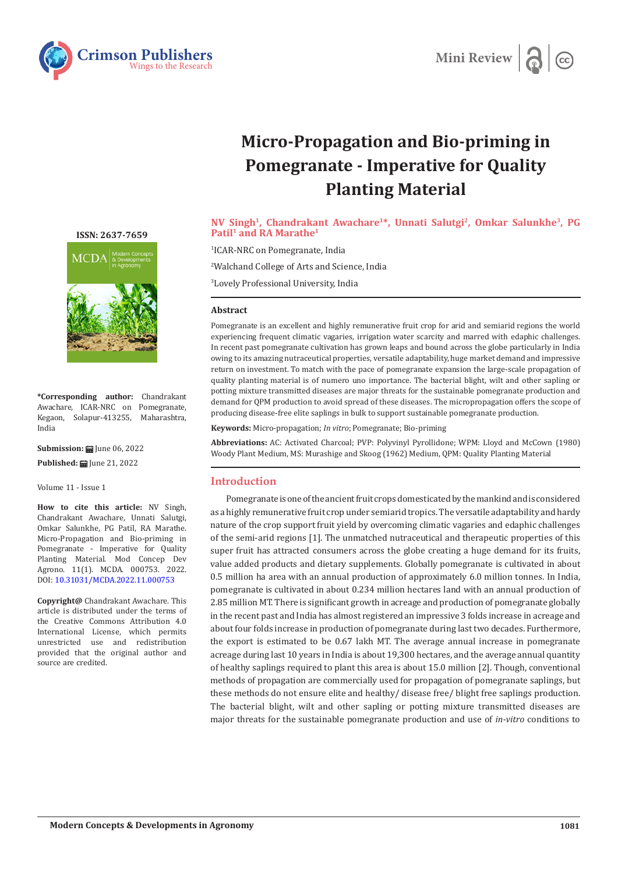



# **Micro-Propagation and Bio-priming in Pomegranate - Imperative for Quality Planting Material**

**NV Singh1, Chandrakant Awachare1\*, Unnati Salutgi2, Omkar Salunkhe3, PG**  Patil<sup>1</sup> and RA Marathe<sup>1</sup>

1 ICAR-NRC on Pomegranate, India

2 Walchand College of Arts and Science, India

3 Lovely Professional University, India

# **Abstract**

Pomegranate is an excellent and highly remunerative fruit crop for arid and semiarid regions the world experiencing frequent climatic vagaries, irrigation water scarcity and marred with edaphic challenges. In recent past pomegranate cultivation has grown leaps and bound across the globe particularly in India owing to its amazing nutraceutical properties, versatile adaptability, huge market demand and impressive return on investment. To match with the pace of pomegranate expansion the large-scale propagation of quality planting material is of numero uno importance. The bacterial blight, wilt and other sapling or potting mixture transmitted diseases are major threats for the sustainable pomegranate production and demand for QPM production to avoid spread of these diseases. The micropropagation offers the scope of producing disease-free elite saplings in bulk to support sustainable pomegranate production.

**Keywords:** Micro-propagation; *In vitro*; Pomegranate; Bio-priming

**Abbreviations:** AC: Activated Charcoal; PVP: Polyvinyl Pyrollidone; WPM: Lloyd and McCown (1980) Woody Plant Medium, MS: Murashige and Skoog (1962) Medium, QPM: Quality Planting Material

# **Introduction**

Pomegranate is one of the ancient fruit crops domesticated by the mankind and is considered as a highly remunerative fruit crop under semiarid tropics. The versatile adaptability and hardy nature of the crop support fruit yield by overcoming climatic vagaries and edaphic challenges of the semi-arid regions [1]. The unmatched nutraceutical and therapeutic properties of this super fruit has attracted consumers across the globe creating a huge demand for its fruits, value added products and dietary supplements. Globally pomegranate is cultivated in about 0.5 million ha area with an annual production of approximately 6.0 million tonnes. In India, pomegranate is cultivated in about 0.234 million hectares land with an annual production of 2.85 million MT. There is significant growth in acreage and production of pomegranate globally in the recent past and India has almost registered an impressive 3 folds increase in acreage and about four folds increase in production of pomegranate during last two decades. Furthermore, the export is estimated to be 0.67 lakh MT. The average annual increase in pomegranate acreage during last 10 years in India is about 19,300 hectares, and the average annual quantity of healthy saplings required to plant this area is about 15.0 million [2]. Though, conventional methods of propagation are commercially used for propagation of pomegranate saplings, but these methods do not ensure elite and healthy/ disease free/ blight free saplings production. The bacterial blight, wilt and other sapling or potting mixture transmitted diseases are major threats for the sustainable pomegranate production and use of *in-vitro* conditions to

**[ISSN: 2637-7659](https://www.crimsonpublishers.com/mcda/)**



**\*Corresponding author:** Chandrakant Awachare, ICAR-NRC on Pomegranate, Kegaon, Solapur-413255, Maharashtra, India

**Submission: | Iune 06, 2022** 

Published: **曲** June 21, 2022

Volume 11 - Issue 1

**How to cite this article:** NV Singh, Chandrakant Awachare, Unnati Salutgi, Omkar Salunkhe, PG Patil, RA Marathe. Micro-Propagation and Bio-priming in Pomegranate - Imperative for Quality Planting Material. Mod Concep Dev Agrono. 11(1). MCDA. 000753. 2022. DOI: [10.31031/MCDA.2022.11.000753](http://dx.doi.org/10.31031/MCDA.2022.11.000753)

**Copyright@** Chandrakant Awachare. This article is distributed under the terms of the Creative Commons Attribution 4.0 International License, which permits unrestricted use and redistribution provided that the original author and source are credited.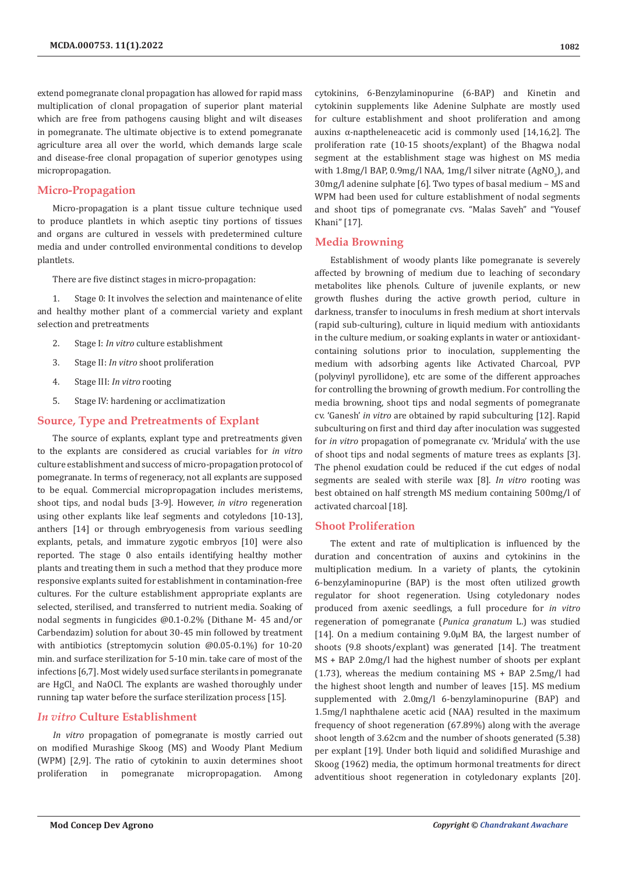extend pomegranate clonal propagation has allowed for rapid mass multiplication of clonal propagation of superior plant material which are free from pathogens causing blight and wilt diseases in pomegranate. The ultimate objective is to extend pomegranate agriculture area all over the world, which demands large scale and disease-free clonal propagation of superior genotypes using micropropagation.

## **Micro-Propagation**

Micro-propagation is a plant tissue culture technique used to produce plantlets in which aseptic tiny portions of tissues and organs are cultured in vessels with predetermined culture media and under controlled environmental conditions to develop plantlets.

There are five distinct stages in micro-propagation:

1. Stage 0: It involves the selection and maintenance of elite and healthy mother plant of a commercial variety and explant selection and pretreatments

- 2. Stage I: *In vitro* culture establishment
- 3. Stage II: *In vitro* shoot proliferation
- 4. Stage III: *In vitro* rooting
- 5. Stage IV: hardening or acclimatization

## **Source, Type and Pretreatments of Explant**

The source of explants, explant type and pretreatments given to the explants are considered as crucial variables for *in vitro*  culture establishment and success of micro-propagation protocol of pomegranate. In terms of regeneracy, not all explants are supposed to be equal. Commercial micropropagation includes meristems, shoot tips, and nodal buds [3-9]. However, *in vitro* regeneration using other explants like leaf segments and cotyledons [10-13], anthers [14] or through embryogenesis from various seedling explants, petals, and immature zygotic embryos [10] were also reported. The stage 0 also entails identifying healthy mother plants and treating them in such a method that they produce more responsive explants suited for establishment in contamination-free cultures. For the culture establishment appropriate explants are selected, sterilised, and transferred to nutrient media. Soaking of nodal segments in fungicides @0.1-0.2% (Dithane M- 45 and/or Carbendazim) solution for about 30-45 min followed by treatment with antibiotics (streptomycin solution @0.05-0.1%) for 10-20 min. and surface sterilization for 5-10 min. take care of most of the infections [6,7]. Most widely used surface sterilants in pomegranate are  $HgCl_2$  and NaOCl. The explants are washed thoroughly under running tap water before the surface sterilization process [15].

#### *In vitro* **Culture Establishment**

*In vitro* propagation of pomegranate is mostly carried out on modified Murashige Skoog (MS) and Woody Plant Medium (WPM) [2,9]. The ratio of cytokinin to auxin determines shoot proliferation in pomegranate micropropagation. Among

cytokinins, 6-Benzylaminopurine (6-BAP) and Kinetin and cytokinin supplements like Adenine Sulphate are mostly used for culture establishment and shoot proliferation and among auxins α-naptheleneacetic acid is commonly used [14,16,2]. The proliferation rate (10-15 shoots/explant) of the Bhagwa nodal segment at the establishment stage was highest on MS media with  $1.8$ mg/l BAP, 0.9mg/l NAA,  $1$ mg/l silver nitrate (AgNO<sub>3</sub>), and 30mg/l adenine sulphate [6]. Two types of basal medium – MS and WPM had been used for culture establishment of nodal segments and shoot tips of pomegranate cvs. "Malas Saveh" and "Yousef Khani" [17].

#### **Media Browning**

Establishment of woody plants like pomegranate is severely affected by browning of medium due to leaching of secondary metabolites like phenols. Culture of juvenile explants, or new growth flushes during the active growth period, culture in darkness, transfer to inoculums in fresh medium at short intervals (rapid sub-culturing), culture in liquid medium with antioxidants in the culture medium, or soaking explants in water or antioxidantcontaining solutions prior to inoculation, supplementing the medium with adsorbing agents like Activated Charcoal, PVP (polyvinyl pyrollidone), etc are some of the different approaches for controlling the browning of growth medium. For controlling the media browning, shoot tips and nodal segments of pomegranate cv. 'Ganesh' *in vitro* are obtained by rapid subculturing [12]. Rapid subculturing on first and third day after inoculation was suggested for *in vitro* propagation of pomegranate cv. 'Mridula' with the use of shoot tips and nodal segments of mature trees as explants [3]. The phenol exudation could be reduced if the cut edges of nodal segments are sealed with sterile wax [8]. *In vitro* rooting was best obtained on half strength MS medium containing 500mg/l of activated charcoal [18].

#### **Shoot Proliferation**

The extent and rate of multiplication is influenced by the duration and concentration of auxins and cytokinins in the multiplication medium. In a variety of plants, the cytokinin 6-benzylaminopurine (BAP) is the most often utilized growth regulator for shoot regeneration. Using cotyledonary nodes produced from axenic seedlings, a full procedure for *in vitro*  regeneration of pomegranate (*Punica granatum* L.) was studied [14]. On a medium containing 9.0µM BA, the largest number of shoots (9.8 shoots/explant) was generated [14]. The treatment MS + BAP 2.0mg/l had the highest number of shoots per explant (1.73), whereas the medium containing MS + BAP 2.5mg/l had the highest shoot length and number of leaves [15]. MS medium supplemented with 2.0mg/l 6-benzylaminopurine (BAP) and 1.5mg/l naphthalene acetic acid (NAA) resulted in the maximum frequency of shoot regeneration (67.89%) along with the average shoot length of 3.62cm and the number of shoots generated (5.38) per explant [19]. Under both liquid and solidified Murashige and Skoog (1962) media, the optimum hormonal treatments for direct adventitious shoot regeneration in cotyledonary explants [20].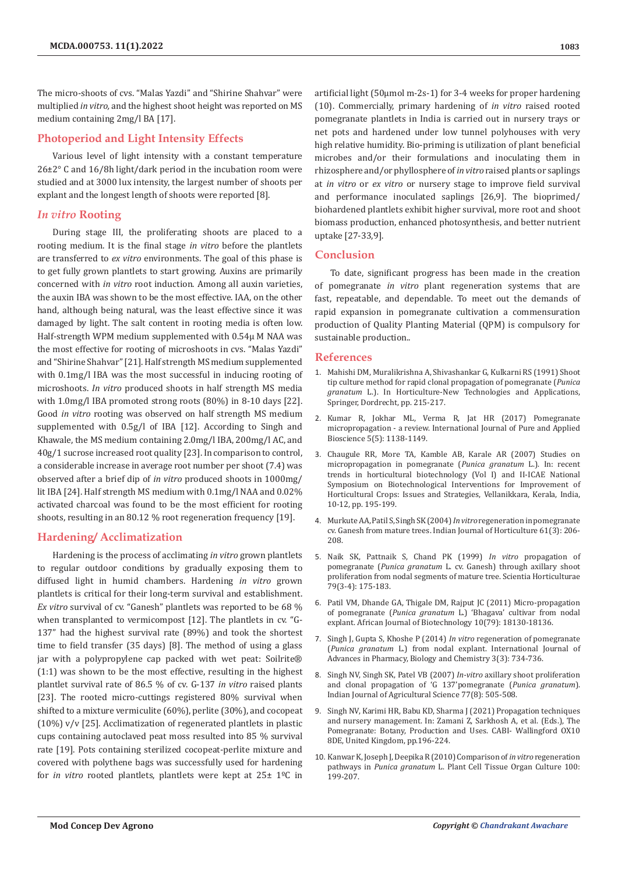The micro-shoots of cvs. "Malas Yazdi" and "Shirine Shahvar" were multiplied *in vitro,* and the highest shoot height was reported on MS medium containing 2mg/l BA [17].

# **Photoperiod and Light Intensity Effects**

Various level of light intensity with a constant temperature 26±2° C and 16/8h light/dark period in the incubation room were studied and at 3000 lux intensity, the largest number of shoots per explant and the longest length of shoots were reported [8].

# *In vitro* **Rooting**

During stage III, the proliferating shoots are placed to a rooting medium. It is the final stage *in vitro* before the plantlets are transferred to *ex vitro* environments. The goal of this phase is to get fully grown plantlets to start growing. Auxins are primarily concerned with *in vitro* root induction. Among all auxin varieties, the auxin IBA was shown to be the most effective. IAA, on the other hand, although being natural, was the least effective since it was damaged by light. The salt content in rooting media is often low. Half-strength WPM medium supplemented with 0.54µ M NAA was the most effective for rooting of microshoots in cvs. "Malas Yazdi" and "Shirine Shahvar" [21]. Half strength MS medium supplemented with 0.1mg/l IBA was the most successful in inducing rooting of microshoots. *In vitro* produced shoots in half strength MS media with 1.0mg/l IBA promoted strong roots (80%) in 8-10 days [22]. Good *in vitro* rooting was observed on half strength MS medium supplemented with 0.5g/l of IBA [12]. According to Singh and Khawale, the MS medium containing 2.0mg/l IBA, 200mg/l AC, and 40g/1 sucrose increased root quality [23]. In comparison to control, a considerable increase in average root number per shoot (7.4) was observed after a brief dip of *in vitro* produced shoots in 1000mg/ lit IBA [24]. Half strength MS medium with 0.1mg/l NAA and 0.02% activated charcoal was found to be the most efficient for rooting shoots, resulting in an 80.12 % root regeneration frequency [19].

# **Hardening/ Acclimatization**

Hardening is the process of acclimating *in vitro* grown plantlets to regular outdoor conditions by gradually exposing them to diffused light in humid chambers. Hardening *in vitro* grown plantlets is critical for their long-term survival and establishment. *Ex vitro* survival of cv. "Ganesh" plantlets was reported to be 68 % when transplanted to vermicompost [12]. The plantlets in cv. "G-137" had the highest survival rate (89%) and took the shortest time to field transfer (35 days) [8]. The method of using a glass jar with a polypropylene cap packed with wet peat: Soilrite® (1:1) was shown to be the most effective, resulting in the highest plantlet survival rate of 86.5 % of cv. G-137 *in vitro* raised plants [23]. The rooted micro-cuttings registered 80% survival when shifted to a mixture vermiculite (60%), perlite (30%), and cocopeat (10%) v/v [25]. Acclimatization of regenerated plantlets in plastic cups containing autoclaved peat moss resulted into 85 % survival rate [19]. Pots containing sterilized cocopeat-perlite mixture and covered with polythene bags was successfully used for hardening for *in vitro* rooted plantlets, plantlets were kept at 25± 1ºC in

artificial light (50µmol m-2s-1) for 3-4 weeks for proper hardening (10). Commercially, primary hardening of *in vitro* raised rooted pomegranate plantlets in India is carried out in nursery trays or net pots and hardened under low tunnel polyhouses with very high relative humidity. Bio-priming is utilization of plant beneficial microbes and/or their formulations and inoculating them in rhizosphere and/or phyllosphere of *in vitro* raised plants or saplings at *in vitro* or *ex vitro* or nursery stage to improve field survival and performance inoculated saplings [26,9]. The bioprimed/ biohardened plantlets exhibit higher survival, more root and shoot biomass production, enhanced photosynthesis, and better nutrient uptake [27-33,9].

# **Conclusion**

To date, significant progress has been made in the creation of pomegranate *in vitro* plant regeneration systems that are fast, repeatable, and dependable. To meet out the demands of rapid expansion in pomegranate cultivation a commensuration production of Quality Planting Material (QPM) is compulsory for sustainable production..

### **References**

- 1. [Mahishi DM, Muralikrishna A, Shivashankar G, Kulkarni RS \(1991\) Shoot](https://link.springer.com/chapter/10.1007/978-94-011-3176-6_34) [tip culture method for rapid clonal propagation of pomegranate \(](https://link.springer.com/chapter/10.1007/978-94-011-3176-6_34)*Punica granatum* [L.\). In Horticulture-New Technologies and Applications,](https://link.springer.com/chapter/10.1007/978-94-011-3176-6_34) [Springer, Dordrecht, pp. 215-217.](https://link.springer.com/chapter/10.1007/978-94-011-3176-6_34)
- 2. [Kumar R, Jokhar ML, Verma R, Jat HR \(2017\) Pomegranate](http://www.ijpab.com/form/2017%20Volume%205,%20issue%205/IJPAB-2017-5-5-1138-1149.pdf) [micropropagation - a review. International Journal of Pure and Applied](http://www.ijpab.com/form/2017%20Volume%205,%20issue%205/IJPAB-2017-5-5-1138-1149.pdf) [Bioscience 5\(5\): 1138-1149.](http://www.ijpab.com/form/2017%20Volume%205,%20issue%205/IJPAB-2017-5-5-1138-1149.pdf)
- 3. Chaugule RR, More TA, Kamble AB, Karale AR (2007) Studies on micropropagation in pomegranate (*Punica granatum* L.). In: recent trends in horticultural biotechnology (Vol I) and II-ICAE National Symposium on Biotechnological Interventions for Improvement of Horticultural Crops: Issues and Strategies, Vellanikkara, Kerala, India, 10-12, pp. 195-199.
- 4. [Murkute AA, Patil S, Singh SK \(2004\)](https://indianjournals.com/ijor.aspx?target=ijor:ijh&volume=61&issue=3&article=002) *In vitro* regeneration in pomegranate [cv. Ganesh from mature trees. Indian Journal of Horticulture 61\(3\): 206-](https://indianjournals.com/ijor.aspx?target=ijor:ijh&volume=61&issue=3&article=002) [208.](https://indianjournals.com/ijor.aspx?target=ijor:ijh&volume=61&issue=3&article=002)
- 5. [Naik SK, Pattnaik S, Chand PK \(1999\)](https://www.sciencedirect.com/science/article/abs/pii/S0304423898002180) *In vitro* propagation of pomegranate (*Punica granatum* [L. cv. Ganesh\) through axillary shoot](https://www.sciencedirect.com/science/article/abs/pii/S0304423898002180) [proliferation from nodal segments of mature tree. Scientia Horticulturae](https://www.sciencedirect.com/science/article/abs/pii/S0304423898002180) [79\(3-4\): 175-183.](https://www.sciencedirect.com/science/article/abs/pii/S0304423898002180)
- 6. [Patil VM, Dhande GA, Thigale DM, Rajput JC \(2011\) Micro-propagation](https://www.ajol.info/index.php/ajb/article/download/98563/87829) of pomegranate (*Punica granatum* [L.\) 'Bhagava' cultivar from nodal](https://www.ajol.info/index.php/ajb/article/download/98563/87829) [explant. African Journal of Biotechnology 10\(79\): 18130-18136.](https://www.ajol.info/index.php/ajb/article/download/98563/87829)
- 7. Singh J, Gupta S, Khoshe P (2014) *In vitro* regeneration of pomegranate (*Punica granatum* L.) from nodal explant. International Journal of Advances in Pharmacy, Biology and Chemistry 3(3): 734-736.
- 8. [Singh NV, Singh SK, Patel VB \(2007\)](https://eurekamag.com/research/016/096/016096325.php) *In-vitro* axillary shoot proliferation [and clonal propagation of 'G 137'pomegranate \(](https://eurekamag.com/research/016/096/016096325.php)*Punica granatum*). [Indian Journal of Agricultural Science 77\(8\): 505-508.](https://eurekamag.com/research/016/096/016096325.php)
- 9. Singh NV, Karimi HR, Babu KD, Sharma J (2021) Propagation techniques and nursery management. In: Zamani Z, Sarkhosh A, et al. (Eds.), The Pomegranate: Botany, Production and Uses. CABI- Wallingford OX10 8DE, United Kingdom, pp.196-224.
- 10. [Kanwar K, Joseph J, Deepika R \(2010\) Comparison of](https://link.springer.com/article/10.1007/s11240-009-9637-4) *in vitro* regeneration pathways in *Punica granatum* [L. Plant Cell Tissue Organ Culture 100:](https://link.springer.com/article/10.1007/s11240-009-9637-4) [199-207.](https://link.springer.com/article/10.1007/s11240-009-9637-4)